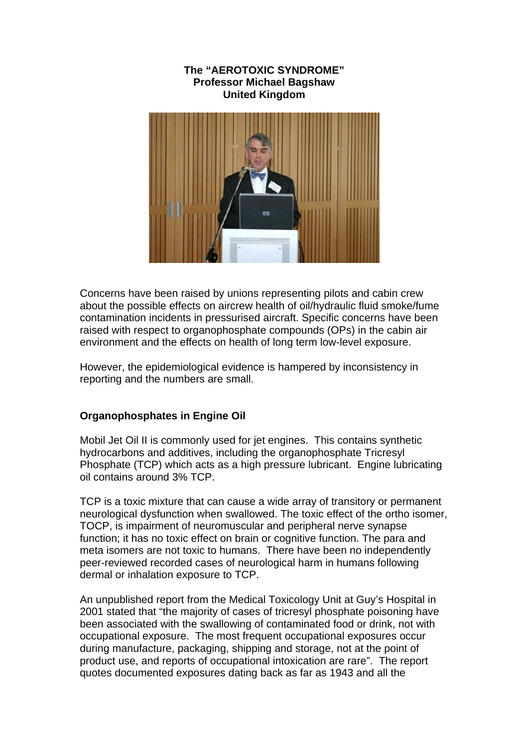### **The "AEROTOXIC SYNDROME" Professor Michael Bagshaw United Kingdom**



Concerns have been raised by unions representing pilots and cabin crew about the possible effects on aircrew health of oil/hydraulic fluid smoke/fume contamination incidents in pressurised aircraft. Specific concerns have been raised with respect to organophosphate compounds (OPs) in the cabin air environment and the effects on health of long term low-level exposure.

However, the epidemiological evidence is hampered by inconsistency in reporting and the numbers are small.

### **Organophosphates in Engine Oil**

Mobil Jet Oil II is commonly used for jet engines. This contains synthetic hydrocarbons and additives, including the organophosphate Tricresyl Phosphate (TCP) which acts as a high pressure lubricant. Engine lubricating oil contains around 3% TCP.

TCP is a toxic mixture that can cause a wide array of transitory or permanent neurological dysfunction when swallowed. The toxic effect of the ortho isomer, TOCP, is impairment of neuromuscular and peripheral nerve synapse function; it has no toxic effect on brain or cognitive function. The para and meta isomers are not toxic to humans. There have been no independently peer-reviewed recorded cases of neurological harm in humans following dermal or inhalation exposure to TCP.

An unpublished report from the Medical Toxicology Unit at Guy's Hospital in 2001 stated that "the majority of cases of tricresyl phosphate poisoning have been associated with the swallowing of contaminated food or drink, not with occupational exposure. The most frequent occupational exposures occur during manufacture, packaging, shipping and storage, not at the point of product use, and reports of occupational intoxication are rare". The report quotes documented exposures dating back as far as 1943 and all the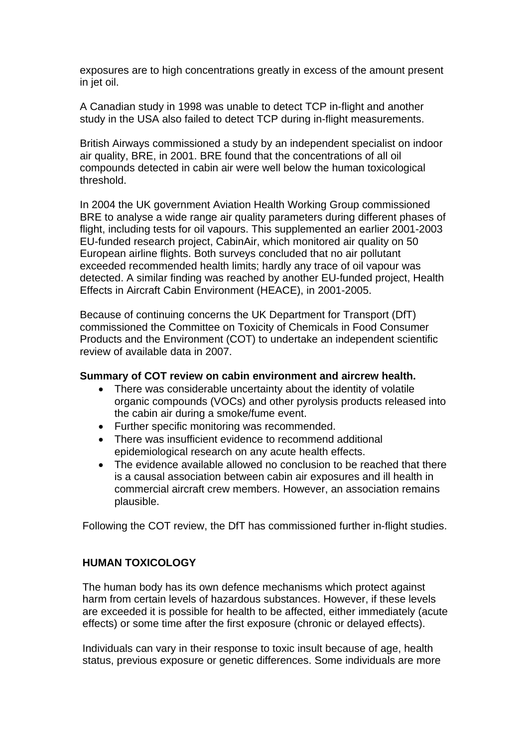exposures are to high concentrations greatly in excess of the amount present in jet oil.

A Canadian study in 1998 was unable to detect TCP in-flight and another study in the USA also failed to detect TCP during in-flight measurements.

British Airways commissioned a study by an independent specialist on indoor air quality, BRE, in 2001. BRE found that the concentrations of all oil compounds detected in cabin air were well below the human toxicological threshold.

In 2004 the UK government Aviation Health Working Group commissioned BRE to analyse a wide range air quality parameters during different phases of flight, including tests for oil vapours. This supplemented an earlier 2001-2003 EU-funded research project, CabinAir, which monitored air quality on 50 European airline flights. Both surveys concluded that no air pollutant exceeded recommended health limits; hardly any trace of oil vapour was detected. A similar finding was reached by another EU-funded project, Health Effects in Aircraft Cabin Environment (HEACE), in 2001-2005.

Because of continuing concerns the UK Department for Transport (DfT) commissioned the Committee on Toxicity of Chemicals in Food Consumer Products and the Environment (COT) to undertake an independent scientific review of available data in 2007.

### **Summary of COT review on cabin environment and aircrew health.**

- There was considerable uncertainty about the identity of volatile organic compounds (VOCs) and other pyrolysis products released into the cabin air during a smoke/fume event.
- Further specific monitoring was recommended.
- There was insufficient evidence to recommend additional epidemiological research on any acute health effects.
- The evidence available allowed no conclusion to be reached that there is a causal association between cabin air exposures and ill health in commercial aircraft crew members. However, an association remains plausible.

Following the COT review, the DfT has commissioned further in-flight studies.

### **HUMAN TOXICOLOGY**

The human body has its own defence mechanisms which protect against harm from certain levels of hazardous substances. However, if these levels are exceeded it is possible for health to be affected, either immediately (acute effects) or some time after the first exposure (chronic or delayed effects).

Individuals can vary in their response to toxic insult because of age, health status, previous exposure or genetic differences. Some individuals are more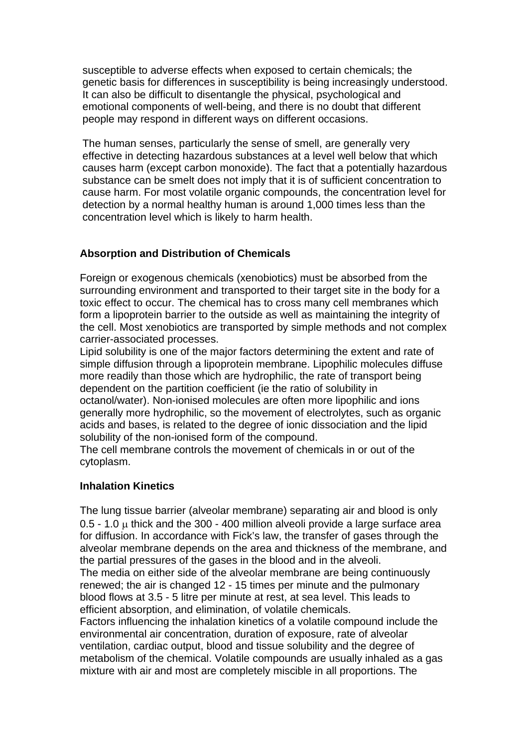susceptible to adverse effects when exposed to certain chemicals; the genetic basis for differences in susceptibility is being increasingly understood. It can also be difficult to disentangle the physical, psychological and emotional components of well-being, and there is no doubt that different people may respond in different ways on different occasions.

The human senses, particularly the sense of smell, are generally very effective in detecting hazardous substances at a level well below that which causes harm (except carbon monoxide). The fact that a potentially hazardous substance can be smelt does not imply that it is of sufficient concentration to cause harm. For most volatile organic compounds, the concentration level for detection by a normal healthy human is around 1,000 times less than the concentration level which is likely to harm health.

# **Absorption and Distribution of Chemicals**

Foreign or exogenous chemicals (xenobiotics) must be absorbed from the surrounding environment and transported to their target site in the body for a toxic effect to occur. The chemical has to cross many cell membranes which form a lipoprotein barrier to the outside as well as maintaining the integrity of the cell. Most xenobiotics are transported by simple methods and not complex carrier-associated processes.

Lipid solubility is one of the major factors determining the extent and rate of simple diffusion through a lipoprotein membrane. Lipophilic molecules diffuse more readily than those which are hydrophilic, the rate of transport being dependent on the partition coefficient (ie the ratio of solubility in octanol/water). Non-ionised molecules are often more lipophilic and ions generally more hydrophilic, so the movement of electrolytes, such as organic acids and bases, is related to the degree of ionic dissociation and the lipid solubility of the non-ionised form of the compound.

The cell membrane controls the movement of chemicals in or out of the cytoplasm.

## **Inhalation Kinetics**

The lung tissue barrier (alveolar membrane) separating air and blood is only 0.5 - 1.0 μ thick and the 300 - 400 million alveoli provide a large surface area for diffusion. In accordance with Fick's law, the transfer of gases through the alveolar membrane depends on the area and thickness of the membrane, and the partial pressures of the gases in the blood and in the alveoli.

The media on either side of the alveolar membrane are being continuously renewed; the air is changed 12 - 15 times per minute and the pulmonary blood flows at 3.5 - 5 litre per minute at rest, at sea level. This leads to efficient absorption, and elimination, of volatile chemicals.

Factors influencing the inhalation kinetics of a volatile compound include the environmental air concentration, duration of exposure, rate of alveolar ventilation, cardiac output, blood and tissue solubility and the degree of metabolism of the chemical. Volatile compounds are usually inhaled as a gas mixture with air and most are completely miscible in all proportions. The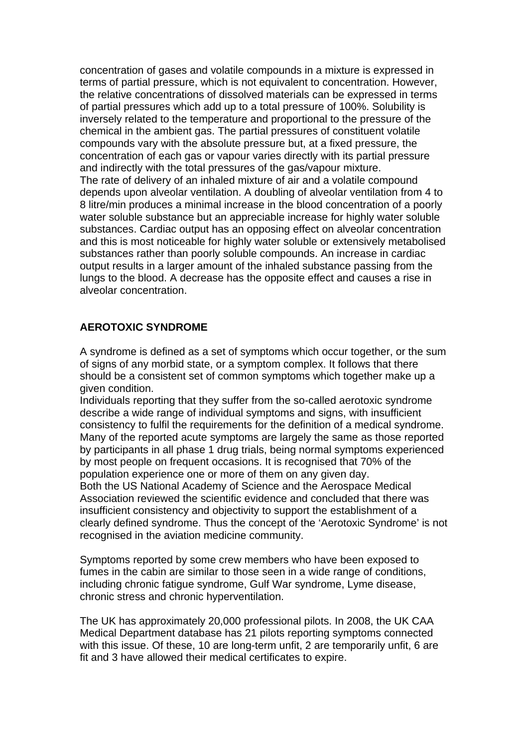concentration of gases and volatile compounds in a mixture is expressed in terms of partial pressure, which is not equivalent to concentration. However, the relative concentrations of dissolved materials can be expressed in terms of partial pressures which add up to a total pressure of 100%. Solubility is inversely related to the temperature and proportional to the pressure of the chemical in the ambient gas. The partial pressures of constituent volatile compounds vary with the absolute pressure but, at a fixed pressure, the concentration of each gas or vapour varies directly with its partial pressure and indirectly with the total pressures of the gas/vapour mixture. The rate of delivery of an inhaled mixture of air and a volatile compound depends upon alveolar ventilation. A doubling of alveolar ventilation from 4 to 8 litre/min produces a minimal increase in the blood concentration of a poorly water soluble substance but an appreciable increase for highly water soluble substances. Cardiac output has an opposing effect on alveolar concentration and this is most noticeable for highly water soluble or extensively metabolised substances rather than poorly soluble compounds. An increase in cardiac output results in a larger amount of the inhaled substance passing from the lungs to the blood. A decrease has the opposite effect and causes a rise in alveolar concentration.

### **AEROTOXIC SYNDROME**

A syndrome is defined as a set of symptoms which occur together, or the sum of signs of any morbid state, or a symptom complex. It follows that there should be a consistent set of common symptoms which together make up a given condition.

Individuals reporting that they suffer from the so-called aerotoxic syndrome describe a wide range of individual symptoms and signs, with insufficient consistency to fulfil the requirements for the definition of a medical syndrome. Many of the reported acute symptoms are largely the same as those reported by participants in all phase 1 drug trials, being normal symptoms experienced by most people on frequent occasions. It is recognised that 70% of the population experience one or more of them on any given day. Both the US National Academy of Science and the Aerospace Medical Association reviewed the scientific evidence and concluded that there was insufficient consistency and objectivity to support the establishment of a clearly defined syndrome. Thus the concept of the 'Aerotoxic Syndrome' is not recognised in the aviation medicine community.

Symptoms reported by some crew members who have been exposed to fumes in the cabin are similar to those seen in a wide range of conditions, including chronic fatigue syndrome, Gulf War syndrome, Lyme disease, chronic stress and chronic hyperventilation.

The UK has approximately 20,000 professional pilots. In 2008, the UK CAA Medical Department database has 21 pilots reporting symptoms connected with this issue. Of these, 10 are long-term unfit, 2 are temporarily unfit, 6 are fit and 3 have allowed their medical certificates to expire.